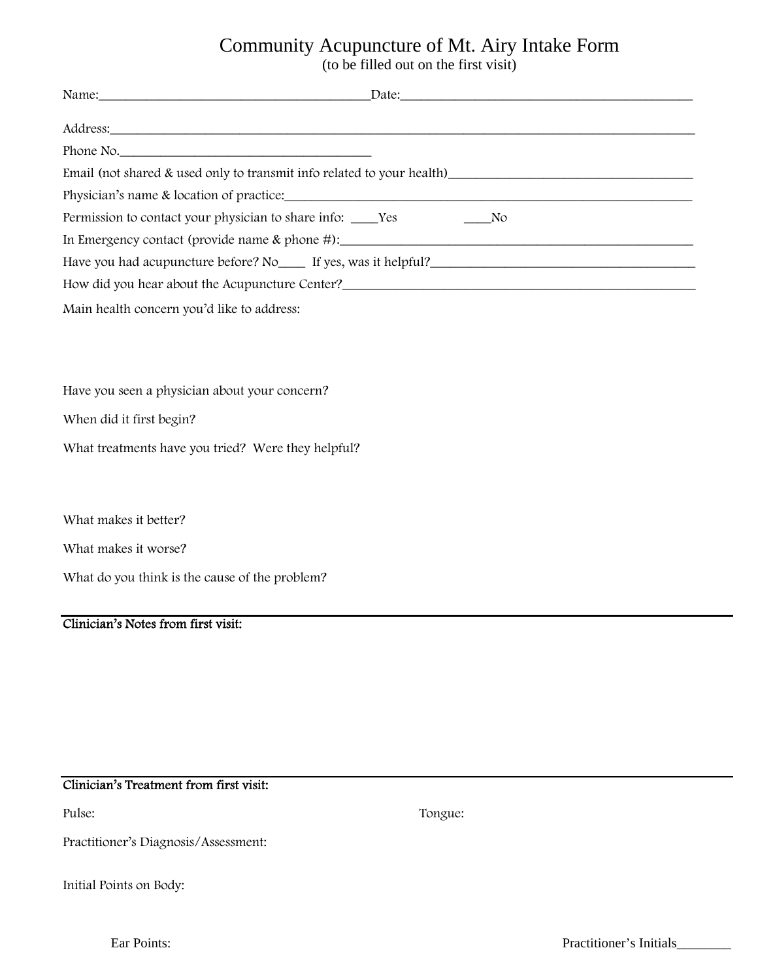# Community Acupuncture of Mt. Airy Intake Form

(to be filled out on the first visit)

|                                                                                    | Name: Date: Date: Date: Date: Date: Date: Date: Date: Date: Date: Date: Date: Date: Date: Date: Date: Date: Date: Date: Date: Date: Date: Date: Date: Date: Date: Date: Date: Date: Date: Date: Date: Date: Date: Date: Date:  |  |
|------------------------------------------------------------------------------------|--------------------------------------------------------------------------------------------------------------------------------------------------------------------------------------------------------------------------------|--|
|                                                                                    | Address: Andreas Address: Address: Address: Address: Address: Address: Address: Address: Address: Address: Address: Address: Address: Address: Address: Address: Address: Address: Address: Address: Address: Address: Address |  |
| Phone No.                                                                          |                                                                                                                                                                                                                                |  |
|                                                                                    |                                                                                                                                                                                                                                |  |
|                                                                                    |                                                                                                                                                                                                                                |  |
| Permission to contact your physician to share info: ______Yes __________________No |                                                                                                                                                                                                                                |  |
|                                                                                    | In Emergency contact (provide name & phone #): __________________________________                                                                                                                                              |  |
|                                                                                    |                                                                                                                                                                                                                                |  |
|                                                                                    |                                                                                                                                                                                                                                |  |
| Main health concern you'd like to address:                                         |                                                                                                                                                                                                                                |  |
|                                                                                    |                                                                                                                                                                                                                                |  |
|                                                                                    |                                                                                                                                                                                                                                |  |
| Have you seen a physician about your concern?                                      |                                                                                                                                                                                                                                |  |
| When did it first begin?                                                           |                                                                                                                                                                                                                                |  |
| What treatments have you tried? Were they helpful?                                 |                                                                                                                                                                                                                                |  |
|                                                                                    |                                                                                                                                                                                                                                |  |
| What makes it better?                                                              |                                                                                                                                                                                                                                |  |

What makes it worse?

What do you think is the cause of the problem?

#### Clinician's Notes from first visit:

### Clinician's Treatment from first visit:

Pulse: Tongue:

Practitioner's Diagnosis/Assessment:

Initial Points on Body: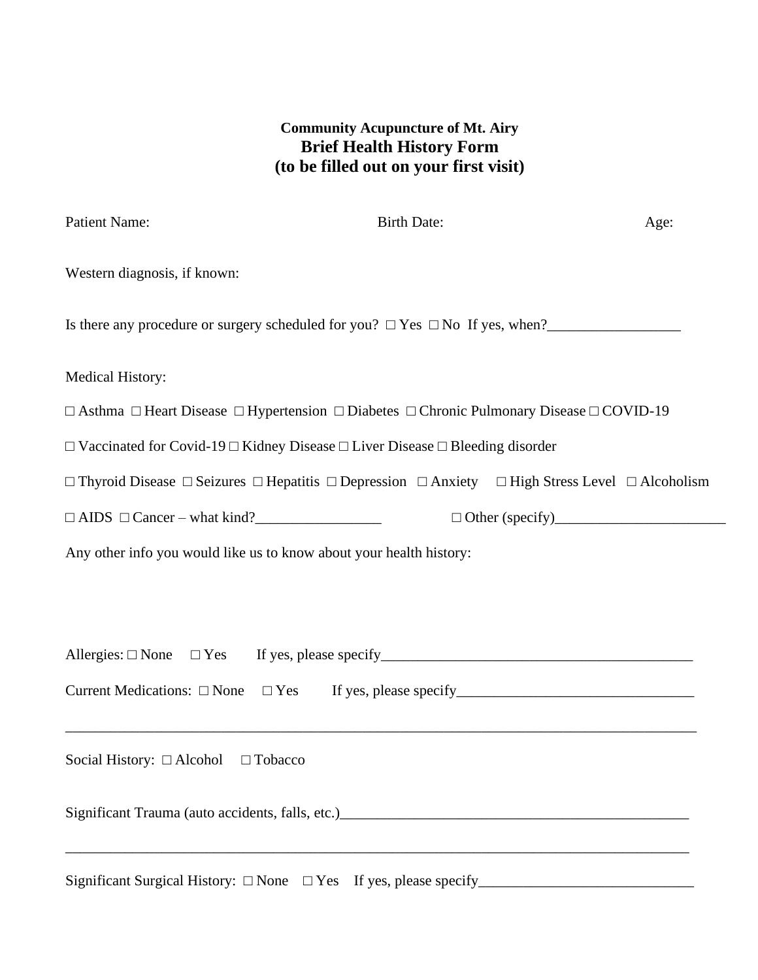## **Community Acupuncture of Mt. Airy Brief Health History Form (to be filled out on your first visit)**

| <b>Patient Name:</b>                                                                                                                                              | <b>Birth Date:</b>                                                                                                                  | Age: |  |
|-------------------------------------------------------------------------------------------------------------------------------------------------------------------|-------------------------------------------------------------------------------------------------------------------------------------|------|--|
| Western diagnosis, if known:                                                                                                                                      |                                                                                                                                     |      |  |
|                                                                                                                                                                   | Is there any procedure or surgery scheduled for you? $\Box$ Yes $\Box$ No If yes, when?                                             |      |  |
| <b>Medical History:</b>                                                                                                                                           |                                                                                                                                     |      |  |
|                                                                                                                                                                   | $\Box$ Asthma $\Box$ Heart Disease $\Box$ Hypertension $\Box$ Diabetes $\Box$ Chronic Pulmonary Disease $\Box$ COVID-19             |      |  |
|                                                                                                                                                                   | $\Box$ Vaccinated for Covid-19 $\Box$ Kidney Disease $\Box$ Liver Disease $\Box$ Bleeding disorder                                  |      |  |
|                                                                                                                                                                   | $\Box$ Thyroid Disease $\Box$ Seizures $\Box$ Hepatitis $\Box$ Depression $\Box$ Anxiety $\Box$ High Stress Level $\Box$ Alcoholism |      |  |
| $\Box$ AIDS $\Box$ Cancer – what kind?                                                                                                                            |                                                                                                                                     |      |  |
| Any other info you would like us to know about your health history:                                                                                               |                                                                                                                                     |      |  |
|                                                                                                                                                                   |                                                                                                                                     |      |  |
|                                                                                                                                                                   |                                                                                                                                     |      |  |
|                                                                                                                                                                   |                                                                                                                                     |      |  |
| and the control of the control of the control of the control of the control of the control of the control of the<br>Social History: $\Box$ Alcohol $\Box$ Tobacco |                                                                                                                                     |      |  |
|                                                                                                                                                                   |                                                                                                                                     |      |  |
|                                                                                                                                                                   |                                                                                                                                     |      |  |

Significant Surgical History: □ None □ Yes If yes, please specify\_\_\_\_\_\_\_\_\_\_\_\_\_\_\_\_\_\_\_\_\_\_\_\_\_\_\_\_\_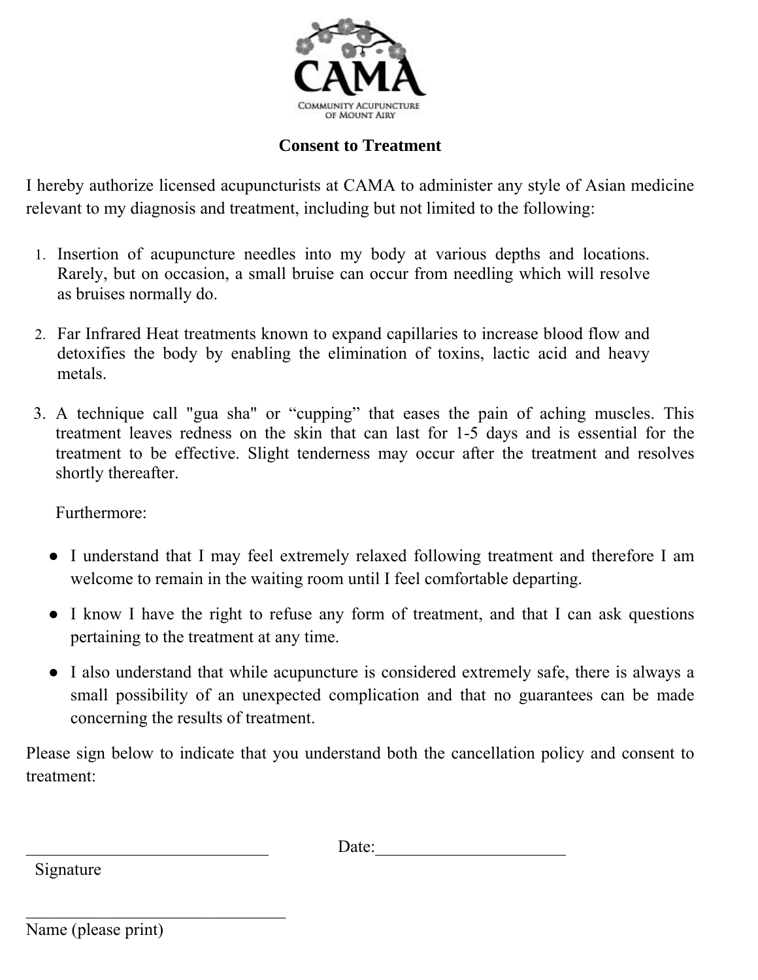

# **Consent to Treatment**

I hereby authorize licensed acupuncturists at CAMA to administer any style of Asian medicine relevant to my diagnosis and treatment, including but not limited to the following:

- 1. Insertion of acupuncture needles into my body at various depths and locations. Rarely, but on occasion, a small bruise can occur from needling which will resolve as bruises normally do.
- 2. Far Infrared Heat treatments known to expand capillaries to increase blood flow and detoxifies the body by enabling the elimination of toxins, lactic acid and heavy metals.
- 3. A technique call "gua sha" or "cupping" that eases the pain of aching muscles. This treatment leaves redness on the skin that can last for 1-5 days and is essential for the treatment to be effective. Slight tenderness may occur after the treatment and resolves shortly thereafter.

Furthermore:

- I understand that I may feel extremely relaxed following treatment and therefore I am welcome to remain in the waiting room until I feel comfortable departing.
- I know I have the right to refuse any form of treatment, and that I can ask questions pertaining to the treatment at any time.
- I also understand that while acupuncture is considered extremely safe, there is always a small possibility of an unexpected complication and that no guarantees can be made concerning the results of treatment.

Please sign below to indicate that you understand both the cancellation policy and consent to treatment:

 $\Box$  Date:

Signature

Name (please print)

 $\mathcal{L}_\text{max}$  , and the set of the set of the set of the set of the set of the set of the set of the set of the set of the set of the set of the set of the set of the set of the set of the set of the set of the set of the